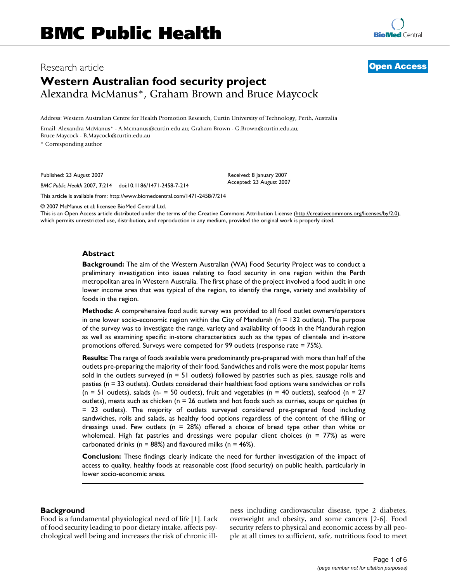# Research article **[Open Access](http://www.biomedcentral.com/info/about/charter/)**

# **Western Australian food security project** Alexandra McManus\*, Graham Brown and Bruce Maycock

Address: Western Australian Centre for Health Promotion Research, Curtin University of Technology, Perth, Australia

Email: Alexandra McManus\* - A.Mcmanus@curtin.edu.au; Graham Brown - G.Brown@curtin.edu.au; Bruce Maycock - B.Maycock@curtin.edu.au \* Corresponding author

Published: 23 August 2007

*BMC Public Health* 2007, **7**:214 doi:10.1186/1471-2458-7-214

[This article is available from: http://www.biomedcentral.com/1471-2458/7/214](http://www.biomedcentral.com/1471-2458/7/214)

© 2007 McManus et al; licensee BioMed Central Ltd.

This is an Open Access article distributed under the terms of the Creative Commons Attribution License [\(http://creativecommons.org/licenses/by/2.0\)](http://creativecommons.org/licenses/by/2.0), which permits unrestricted use, distribution, and reproduction in any medium, provided the original work is properly cited.

Received: 8 January 2007 Accepted: 23 August 2007

#### **Abstract**

**Background:** The aim of the Western Australian (WA) Food Security Project was to conduct a preliminary investigation into issues relating to food security in one region within the Perth metropolitan area in Western Australia. The first phase of the project involved a food audit in one lower income area that was typical of the region, to identify the range, variety and availability of foods in the region.

**Methods:** A comprehensive food audit survey was provided to all food outlet owners/operators in one lower socio-economic region within the City of Mandurah ( $n = 132$  outlets). The purpose of the survey was to investigate the range, variety and availability of foods in the Mandurah region as well as examining specific in-store characteristics such as the types of clientele and in-store promotions offered. Surveys were competed for 99 outlets (response rate = 75%).

**Results:** The range of foods available were predominantly pre-prepared with more than half of the outlets pre-preparing the majority of their food. Sandwiches and rolls were the most popular items sold in the outlets surveyed ( $n = 51$  outlets) followed by pastries such as pies, sausage rolls and pasties (n = 33 outlets). Outlets considered their healthiest food options were sandwiches or rolls  $(n = 51$  outlets), salads  $(n = 50$  outlets), fruit and vegetables  $(n = 40$  outlets), seafood  $(n = 27)$ outlets), meats such as chicken (n = 26 outlets and hot foods such as curries, soups or quiches (n = 23 outlets). The majority of outlets surveyed considered pre-prepared food including sandwiches, rolls and salads, as healthy food options regardless of the content of the filling or dressings used. Few outlets ( $n = 28\%$ ) offered a choice of bread type other than white or wholemeal. High fat pastries and dressings were popular client choices ( $n = 77\%$ ) as were carbonated drinks ( $n = 88\%$ ) and flavoured milks ( $n = 46\%$ ).

**Conclusion:** These findings clearly indicate the need for further investigation of the impact of access to quality, healthy foods at reasonable cost (food security) on public health, particularly in lower socio-economic areas.

#### **Background**

Food is a fundamental physiological need of life [1]. Lack of food security leading to poor dietary intake, affects psychological well being and increases the risk of chronic illness including cardiovascular disease, type 2 diabetes, overweight and obesity, and some cancers [2-6]. Food security refers to physical and economic access by all people at all times to sufficient, safe, nutritious food to meet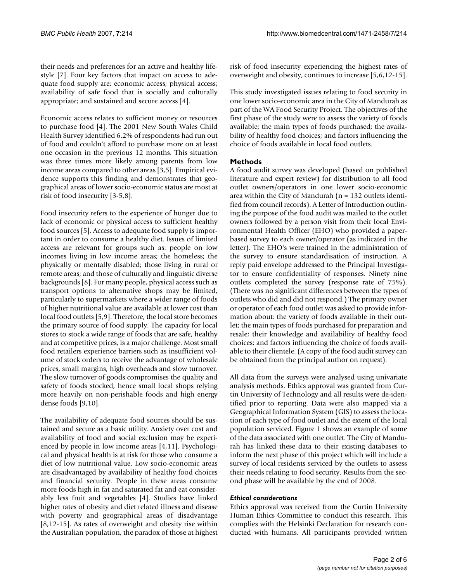their needs and preferences for an active and healthy lifestyle [7]. Four key factors that impact on access to adequate food supply are: economic access; physical access; availability of safe food that is socially and culturally appropriate; and sustained and secure access [4].

Economic access relates to sufficient money or resources to purchase food [4]. The 2001 New South Wales Child Health Survey identified 6.2% of respondents had run out of food and couldn't afford to purchase more on at least one occasion in the previous 12 months. This situation was three times more likely among parents from low income areas compared to other areas [3,5]. Empirical evidence supports this finding and demonstrates that geographical areas of lower socio-economic status are most at risk of food insecurity [3-5,8].

Food insecurity refers to the experience of hunger due to lack of economic or physical access to sufficient healthy food sources [5]. Access to adequate food supply is important in order to consume a healthy diet. Issues of limited access are relevant for groups such as: people on low incomes living in low income areas; the homeless; the physically or mentally disabled; those living in rural or remote areas; and those of culturally and linguistic diverse backgrounds [8]. For many people, physical access such as transport options to alternative shops may be limited, particularly to supermarkets where a wider range of foods of higher nutritional value are available at lower cost than local food outlets [5,9]. Therefore, the local store becomes the primary source of food supply. The capacity for local stores to stock a wide range of foods that are safe, healthy and at competitive prices, is a major challenge. Most small food retailers experience barriers such as insufficient volume of stock orders to receive the advantage of wholesale prices, small margins, high overheads and slow turnover. The slow turnover of goods compromises the quality and safety of foods stocked, hence small local shops relying more heavily on non-perishable foods and high energy dense foods [9,10].

The availability of adequate food sources should be sustained and secure as a basic utility. Anxiety over cost and availability of food and social exclusion may be experienced by people in low income areas [4,11]. Psychological and physical health is at risk for those who consume a diet of low nutritional value. Low socio-economic areas are disadvantaged by availability of healthy food choices and financial security. People in these areas consume more foods high in fat and saturated fat and eat considerably less fruit and vegetables [4]. Studies have linked higher rates of obesity and diet related illness and disease with poverty and geographical areas of disadvantage [8,12-15]. As rates of overweight and obesity rise within the Australian population, the paradox of those at highest

risk of food insecurity experiencing the highest rates of overweight and obesity, continues to increase [5,6,12-15].

This study investigated issues relating to food security in one lower socio-economic area in the City of Mandurah as part of the WA Food Security Project. The objectives of the first phase of the study were to assess the variety of foods available; the main types of foods purchased; the availability of healthy food choices; and factors influencing the choice of foods available in local food outlets.

# **Methods**

A food audit survey was developed (based on published literature and expert review) for distribution to all food outlet owners/operators in one lower socio-economic area within the City of Mandurah (n = 132 outlets identified from council records). A Letter of Introduction outlining the purpose of the food audit was mailed to the outlet owners followed by a person visit from their local Environmental Health Officer (EHO) who provided a paperbased survey to each owner/operator (as indicated in the letter). The EHO's were trained in the administration of the survey to ensure standardisation of instruction. A reply paid envelope addressed to the Principal Investigator to ensure confidentiality of responses. Ninety nine outlets completed the survey (response rate of 75%). (There was no significant differences between the types of outlets who did and did not respond.) The primary owner or operator of each food outlet was asked to provide information about: the variety of foods available in their outlet; the main types of foods purchased for preparation and resale; their knowledge and availability of healthy food choices; and factors influencing the choice of foods available to their clientele. (A copy of the food audit survey can be obtained from the principal author on request).

All data from the surveys were analysed using univariate analysis methods. Ethics approval was granted from Curtin University of Technology and all results were de-identified prior to reporting. Data were also mapped via a Geographical Information System (GIS) to assess the location of each type of food outlet and the extent of the local population serviced. Figure 1 shows an example of some of the data associated with one outlet. The City of Mandurah has linked these data to their existing databases to inform the next phase of this project which will include a survey of local residents serviced by the outlets to assess their needs relating to food security. Results from the second phase will be available by the end of 2008.

## *Ethical considerations*

Ethics approval was received from the Curtin University Human Ethics Committee to conduct this research. This complies with the Helsinki Declaration for research conducted with humans. All participants provided written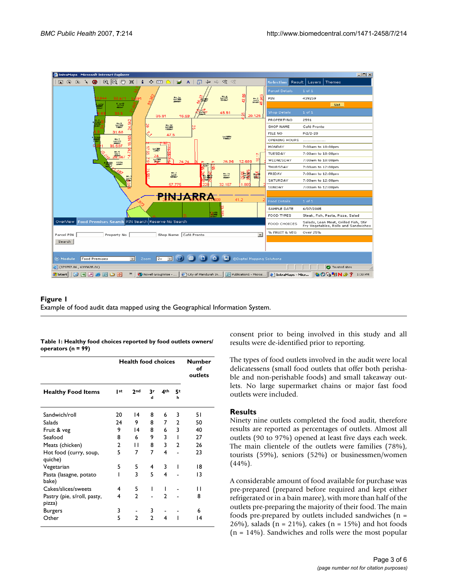

## **Figure 1**

Example of food audit data mapped using the Geographical Information System.

| Table 1: Healthy food choices reported by food outlets owners/ |  |
|----------------------------------------------------------------|--|
| operators (n = 99)                                             |  |

|                                       | <b>Health food choices</b> |               |              |                |                | <b>Number</b><br>of<br>outlets |
|---------------------------------------|----------------------------|---------------|--------------|----------------|----------------|--------------------------------|
| <b>Healthy Food Items</b>             | st                         | 2nd           | 3r<br>d      | 4th            | 5t<br>h        |                                |
| Sandwich/roll                         | 20                         | 14            | 8            | 6              | 3              | 51                             |
| Salads                                | 24                         | 9             | 8            | 7              | $\mathcal{P}$  | 50                             |
| Fruit & veg                           | 9                          | 4             | 8            | 6              | 3              | 40                             |
| Seafood                               | 8                          | 6             | 9            | 3              | ı              | 27                             |
| Meats (chicken)                       | $\overline{2}$             | п             | 8            | 3              | $\overline{2}$ | 26                             |
| Hot food (curry, soup,<br>quiche)     | 5                          | 7             | 7            | 4              |                | 23                             |
| Vegetarian                            | 5                          | 5             | 4            | 3              | ı              | 18                             |
| Pasta (lasagne, potato<br>bake)       |                            | 3             | 5            | 4              |                | 13                             |
| Cakes/slices/sweets                   | 4                          | 5             | ı            | I              |                | П                              |
| Pastry (pie, s/roll, pasty,<br>pizza) | 4                          | $\mathcal{P}$ |              | $\mathfrak{p}$ |                | 8                              |
| Burgers                               | 3                          |               | 3            |                |                | 6                              |
| Other                                 | 5                          | $\mathcal{P}$ | $\mathbf{2}$ | 4              | ı              | 14                             |

consent prior to being involved in this study and all results were de-identified prior to reporting.

The types of food outlets involved in the audit were local delicatessens (small food outlets that offer both perishable and non-perishable foods) and small takeaway outlets. No large supermarket chains or major fast food outlets were included.

# **Results**

Ninety nine outlets completed the food audit, therefore results are reported as percentages of outlets. Almost all outlets (90 to 97%) opened at least five days each week. The main clientele of the outlets were families (78%), tourists (59%), seniors (52%) or businessmen/women  $(44%).$ 

A considerable amount of food available for purchase was pre-prepared (prepared before required and kept either refrigerated or in a bain maree), with more than half of the outlets pre-preparing the majority of their food. The main foods pre-prepared by outlets included sandwiches (n = 26%), salads ( $n = 21\%$ ), cakes ( $n = 15\%$ ) and hot foods (n = 14%). Sandwiches and rolls were the most popular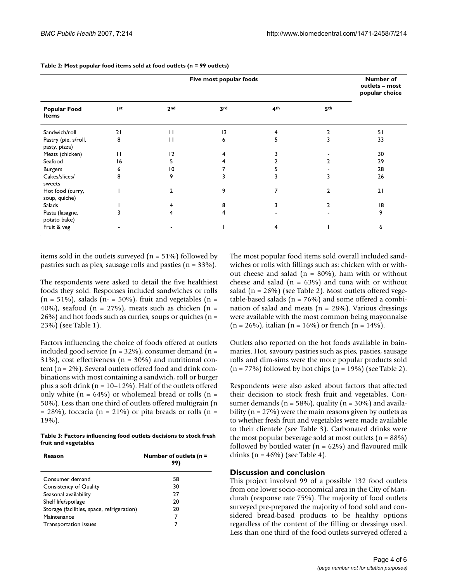|                                       |    | Number of<br>outlets - most<br>popular choice |     |     |     |    |
|---------------------------------------|----|-----------------------------------------------|-----|-----|-----|----|
| <b>Popular Food</b><br><b>Items</b>   | st | 2 <sub>nd</sub>                               | 3rd | 4th | 5th |    |
| Sandwich/roll                         | 21 | $\mathbf{H}$                                  | 3   |     |     | 51 |
| Pastry (pie, s/roll,<br>pasty, pizza) | 8  | $\mathbf{I}$                                  | 6   |     |     | 33 |
| Meats (chicken)                       | П  | 12                                            |     |     |     | 30 |
| Seafood                               | 16 |                                               |     |     |     | 29 |
| <b>Burgers</b>                        | 6  | 10                                            |     |     |     | 28 |
| Cakes/slices/<br>sweets               | 8  | 9                                             |     |     |     | 26 |
| Hot food (curry,<br>soup, quiche)     |    |                                               | 9   | 7   |     | 21 |
| Salads                                |    |                                               | 8   |     |     | 18 |
| Pasta (lasagne,<br>potato bake)       |    |                                               |     |     |     | 9  |
| Fruit & veg                           |    |                                               |     | 4   |     | 6  |

#### **Table 2: Most popular food items sold at food outlets (n = 99 outlets)**

items sold in the outlets surveyed  $(n = 51\%)$  followed by pastries such as pies, sausage rolls and pasties (n = 33%).

The respondents were asked to detail the five healthiest foods they sold. Responses included sandwiches or rolls  $(n = 51\%)$ , salads  $(n = 50\%)$ , fruit and vegetables  $(n = 51\%)$ 40%), seafood (n = 27%), meats such as chicken (n =  $26\%$ ) and hot foods such as curries, soups or quiches (n = 23%) (see Table 1).

Factors influencing the choice of foods offered at outlets included good service ( $n = 32\%$ ), consumer demand ( $n =$ 31%), cost effectiveness ( $n = 30%$ ) and nutritional content (n = 2%). Several outlets offered food and drink combinations with most containing a sandwich, roll or burger plus a soft drink ( $n = 10-12\%$ ). Half of the outlets offered only white  $(n = 64\%)$  or wholemeal bread or rolls  $(n = 1)$ 50%). Less than one third of outlets offered multigrain (n  $= 28\%)$ , foccacia (n = 21%) or pita breads or rolls (n = 19%).

**Table 3: Factors influencing food outlets decisions to stock fresh fruit and vegetables**

| Reason                                     | Number of outlets ( $n =$<br>99) |  |  |
|--------------------------------------------|----------------------------------|--|--|
| Consumer demand                            | 58                               |  |  |
| Consistency of Quality                     | 30                               |  |  |
| Seasonal availability                      | 27                               |  |  |
| Shelf life/spoilage                        | 20                               |  |  |
| Storage (facilities, space, refrigeration) | 20                               |  |  |
| Maintenance                                |                                  |  |  |
| Transportation issues                      |                                  |  |  |

The most popular food items sold overall included sandwiches or rolls with fillings such as: chicken with or without cheese and salad ( $n = 80\%$ ), ham with or without cheese and salad ( $n = 63\%$ ) and tuna with or without salad (n = 26%) (see Table 2). Most outlets offered vegetable-based salads ( $n = 76\%$ ) and some offered a combination of salad and meats ( $n = 28\%$ ). Various dressings were available with the most common being mayonnaise  $(n = 26\%)$ , italian  $(n = 16\%)$  or french  $(n = 14\%)$ .

Outlets also reported on the hot foods available in bainmaries. Hot, savoury pastries such as pies, pasties, sausage rolls and dim-sims were the more popular products sold ( $n = 77\%$ ) followed by hot chips ( $n = 19\%$ ) (see Table 2).

Respondents were also asked about factors that affected their decision to stock fresh fruit and vegetables. Consumer demands ( $n = 58\%$ ), quality ( $n = 30\%$ ) and availability (n = 27%) were the main reasons given by outlets as to whether fresh fruit and vegetables were made available to their clientele (see Table 3). Carbonated drinks were the most popular beverage sold at most outlets ( $n = 88\%$ ) followed by bottled water ( $n = 62%$ ) and flavoured milk drinks  $(n = 46\%)$  (see Table 4).

#### **Discussion and conclusion**

This project involved 99 of a possible 132 food outlets from one lower socio-economical area in the City of Mandurah (response rate 75%). The majority of food outlets surveyed pre-prepared the majority of food sold and considered bread-based products to be healthy options regardless of the content of the filling or dressings used. Less than one third of the food outlets surveyed offered a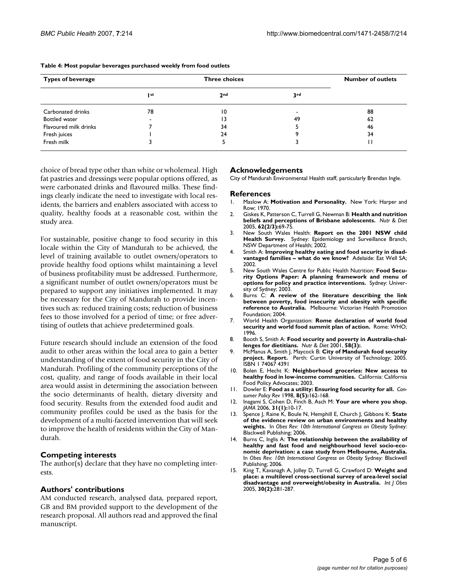| <b>Types of beverage</b> |    | <b>Three choices</b> |     |    |  |
|--------------------------|----|----------------------|-----|----|--|
|                          | st | 2 <sub>nd</sub>      | 3rd |    |  |
| Carbonated drinks        | 78 | 10                   |     | 88 |  |
| Bottled water            | -  | 13                   | 49  | 62 |  |
| Flavoured milk drinks    |    | 34                   |     | 46 |  |
| Fresh juices             |    | 24                   |     | 34 |  |
| Fresh milk               |    |                      |     |    |  |

**Table 4: Most popular beverages purchased weekly from food outlets**

choice of bread type other than white or wholemeal. High fat pastries and dressings were popular options offered, as were carbonated drinks and flavoured milks. These findings clearly indicate the need to investigate with local residents, the barriers and enablers associated with access to quality, healthy foods at a reasonable cost, within the study area.

For sustainable, positive change to food security in this locale within the City of Mandurah to be achieved, the level of training available to outlet owners/operators to provide healthy food options whilst maintaining a level of business profitability must be addressed. Furthermore, a significant number of outlet owners/operators must be prepared to support any initiatives implemented. It may be necessary for the City of Mandurah to provide incentives such as: reduced training costs; reduction of business fees to those involved for a period of time; or free advertising of outlets that achieve predetermined goals.

Future research should include an extension of the food audit to other areas within the local area to gain a better understanding of the extent of food security in the City of Mandurah. Profiling of the community perceptions of the cost, quality, and range of foods available in their local area would assist in determining the association between the socio determinants of health, dietary diversity and food security. Results from the extended food audit and community profiles could be used as the basis for the development of a multi-faceted intervention that will seek to improve the health of residents within the City of Mandurah.

## **Competing interests**

The author(s) declare that they have no completing interests.

## **Authors' contributions**

AM conducted research, analysed data, prepared report, GB and BM provided support to the development of the research proposal. All authors read and approved the final manuscript.

#### **Acknowledgements**

City of Mandurah Environmental Health staff, particularly Brendan Ingle.

#### **References**

- 1. Maslow A: **[Motivation and Personality.](http://www.ncbi.nlm.nih.gov/entrez/query.fcgi?cmd=Retrieve&db=PubMed&dopt=Abstract&list_uids=5459825)** New York: Harper and Row; 1970.
- 2. Giskes K, Patterson C, Turrell G, Newman B: **Health and nutrition beliefs and perceptions of Brisbane adolescents.** *Nutr & Diet* 2005, **62(2/3):**69-75.
- 3. New South Wales Health: **Report on the 2001 NSW child Health Survey.** Sydney: Epidemiology and Surveillance Branch, NSW Department of Health; 2002.
- 4. Smith A: **Improving healthy eating and food security in disad**vantaged families - what do we know? Adelaide: Eat Well SA; 2002.
- 5. New South Wales Centre for Public Health Nutrition: **Food Security Options Paper: A planning framework and menu of options for policy and practice interventions.** Sydney: University of Sydney; 2003.
- 6. Burns C: **A review of the literature describing the link between poverty, food insecurity and obesity with specific reference to Australia.** Melbourne: Victorian Health Promotion Foundation; 2004.
- 7. World Health Organization: **Rome declaration of world food security and world food summit plan of action.** Rome: WHO; 1996.
- 8. Booth S, Smith A: **Food security and poverty in Australia-challenges for dietitians.** *Nutr & Diet* 2001, **58(3):**.
- 9. McManus A, Smith J, Maycock B: **City of Mandurah food security project. Report.** Perth: Curtin University of Technology; 2005. ISBN 1 74067 4391
- 10. Bolen E, Hecht K: **Neighborhood groceries: New access to healthy food in low-income communities.** California: California Food Policy Advocates; 2003.
- 11. Dowler E: **Food as a utility: Ensuring food security for all.** *Consumer Policy Rev* 1998, **8(5):**162-168.
- 12. Inagami S, Cohen D, Finch B, Asch M: **Your are where you shop.** *JAMA* 2006, **31(1):**10-17.
- 13. Spence J, Raine K, Boule N, Hemphill E, Church J, Gibbons K: **State of the evidence review on urban environments and healthy weights.** In *Obes Rev: 10th International Congress on Obesity* Sydney: Blackwell Publishing; 2006.
- 14. Burns C, Inglis A: **The relationship between the availability of healthy and fast food and neighbourhood level socio-economic deprivation: a case study from Melbourne, Australia.** In *Obes Rev: 10th International Congress on Obesity* Sydney: Blackwell Publishing; 2006.
- 15. King T, Kavanagh A, Jolley D, Turrell G, Crawford D: **Weight and place: a multilevel cross-sectional survey of area-level social disadvantage and overweight/obesity in Australia.** *Int J Obes* 2005, **30(2):**281-287.